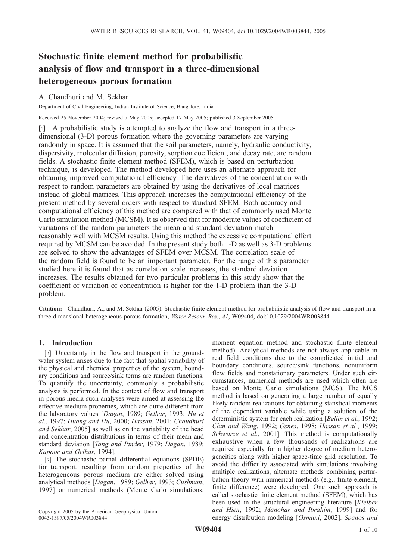# Stochastic finite element method for probabilistic analysis of flow and transport in a three-dimensional heterogeneous porous formation

## A. Chaudhuri and M. Sekhar

Department of Civil Engineering, Indian Institute of Science, Bangalore, India

Received 25 November 2004; revised 7 May 2005; accepted 17 May 2005; published 3 September 2005.

[1] A probabilistic study is attempted to analyze the flow and transport in a threedimensional (3-D) porous formation where the governing parameters are varying randomly in space. It is assumed that the soil parameters, namely, hydraulic conductivity, dispersivity, molecular diffusion, porosity, sorption coefficient, and decay rate, are random fields. A stochastic finite element method (SFEM), which is based on perturbation technique, is developed. The method developed here uses an alternate approach for obtaining improved computational efficiency. The derivatives of the concentration with respect to random parameters are obtained by using the derivatives of local matrices instead of global matrices. This approach increases the computational efficiency of the present method by several orders with respect to standard SFEM. Both accuracy and computational efficiency of this method are compared with that of commonly used Monte Carlo simulation method (MCSM). It is observed that for moderate values of coefficient of variations of the random parameters the mean and standard deviation match reasonably well with MCSM results. Using this method the excessive computational effort required by MCSM can be avoided. In the present study both 1-D as well as 3-D problems are solved to show the advantages of SFEM over MCSM. The correlation scale of the random field is found to be an important parameter. For the range of this parameter studied here it is found that as correlation scale increases, the standard deviation increases. The results obtained for two particular problems in this study show that the coefficient of variation of concentration is higher for the 1-D problem than the 3-D problem.

Citation: Chaudhuri, A., and M. Sekhar (2005), Stochastic finite element method for probabilistic analysis of flow and transport in a three-dimensional heterogeneous porous formation, *Water Resour. Res.*, *41*, W09404, doi:10.1029/2004WR003844.

## 1. Introduction

[2] Uncertainty in the flow and transport in the groundwater system arises due to the fact that spatial variability of the physical and chemical properties of the system, boundary conditions and source/sink terms are random functions. To quantify the uncertainty, commonly a probabilistic analysis is performed. In the context of flow and transport in porous media such analyses were aimed at assessing the effective medium properties, which are quite different from the laboratory values [*Dagan*, 1989; *Gelhar*, 1993; *Hu et al.*, 1997; *Huang and Hu*, 2000; *Hassan*, 2001; *Chaudhuri and Sekhar*, 2005] as well as on the variability of the head and concentration distributions in terms of their mean and standard deviation [*Tang and Pinder*, 1979; *Dagan*, 1989; *Kapoor and Gelhar*, 1994].

[3] The stochastic partial differential equations (SPDE) for transport, resulting from random properties of the heterogeneous porous medium are either solved using analytical methods [*Dagan*, 1989; *Gelhar*, 1993; *Cushman*, 1997] or numerical methods (Monte Carlo simulations,

Copyright 2005 by the American Geophysical Union. 0043-1397/05/2004WR003844

moment equation method and stochastic finite element method). Analytical methods are not always applicable in real field conditions due to the complicated initial and boundary conditions, source/sink functions, nonuniform flow fields and nonstationary parameters. Under such circumstances, numerical methods are used which often are based on Monte Carlo simulations (MCS). The MCS method is based on generating a large number of equally likely random realizations for obtaining statistical moments of the dependent variable while using a solution of the deterministic system for each realization [*Bellin et al.*, 1992; *Chin and Wang*, 1992; *Osnes*, 1998; *Hassan et al.*, 1999; *Schwarze et al.*, 2001]. This method is computationally exhaustive when a few thousands of realizations are required especially for a higher degree of medium heterogeneities along with higher space-time grid resolution. To avoid the difficulty associated with simulations involving multiple realizations, alternate methods combining perturbation theory with numerical methods (e.g., finite element, finite difference) were developed. One such approach is called stochastic finite element method (SFEM), which has been used in the structural engineering literature [*Kleiber and Hien*, 1992; *Manohar and Ibrahim*, 1999] and for energy distribution modeling [*Osmani*, 2002]. *Spanos and*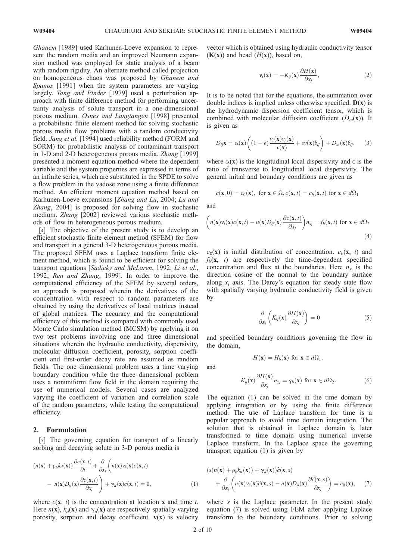*Ghanem* [1989] used Karhunen-Loeve expansion to represent the random media and an improved Neumann expansion method was employed for static analysis of a beam with random rigidity. An alternate method called projection on homogeneous chaos was proposed by *Ghanem and Spanos* [1991] when the system parameters are varying largely. *Tang and Pinder* [1979] used a perturbation approach with finite difference method for performing uncertainty analysis of solute transport in a one-dimensional porous medium. *Osnes and Langtangen* [1998] presented a probabilistic finite element method for solving stochastic porous media flow problems with a random conductivity field. *Jang et al.* [1994] used reliability method (FORM and SORM) for probabilistic analysis of contaminant transport in 1-D and 2-D heterogeneous porous media. *Zhang* [1999] presented a moment equation method where the dependent variable and the system properties are expressed in terms of an infinite series, which are substituted in the SPDE to solve a flow problem in the vadose zone using a finite difference method. An efficient moment equation method based on Karhunen-Loeve expansions [*Zhang and Lu*, 2004; *Lu and Zhang*, 2004] is proposed for solving flow in stochastic medium. *Zhang* [2002] reviewed various stochastic methods of flow in heterogeneous porous medium.

[4] The objective of the present study is to develop an efficient stochastic finite element method (SFEM) for flow and transport in a general 3-D heterogeneous porous media. The proposed SFEM uses a Laplace transform finite element method, which is found to be efficient for solving the transport equations [*Sudicky and McLaren*, 1992; *Li et al.*, 1992; *Ren and Zhang*, 1999]. In order to improve the computational efficiency of the SFEM by several orders, an approach is proposed wherein the derivatives of the concentration with respect to random parameters are obtained by using the derivatives of local matrices instead of global matrices. The accuracy and the computational efficiency of this method is compared with commonly used Monte Carlo simulation method (MCSM) by applying it on two test problems involving one and three dimensional situations wherein the hydraulic conductivity, dispersivity, molecular diffusion coefficient, porosity, sorption coefficient and first-order decay rate are assumed as random fields. The one dimensional problem uses a time varying boundary condition while the three dimensional problem uses a nonuniform flow field in the domain requiring the use of numerical models. Several cases are analyzed varying the coefficient of variation and correlation scale of the random parameters, while testing the computational efficiency.

## 2. Formulation

[5] The governing equation for transport of a linearly sorbing and decaying solute in 3-D porous media is

$$
(n(\mathbf{x}) + \rho_b k_d(\mathbf{x})) \frac{\partial c(\mathbf{x}, t)}{\partial t} + \frac{\partial}{\partial x_i} \left( n(\mathbf{x}) v_i(\mathbf{x}) c(\mathbf{x}, t) - n(\mathbf{x}) D_{ij}(\mathbf{x}) \frac{\partial c(\mathbf{x}, t)}{\partial x_j} \right) + \gamma_d(\mathbf{x}) c(\mathbf{x}, t) = 0,
$$
\n(1)

where  $c(\mathbf{x}, t)$  is the concentration at location **x** and time *t*. Here  $n(\mathbf{x})$ ,  $k_d(\mathbf{x})$  and  $\gamma_d(\mathbf{x})$  are respectively spatially varying porosity, sorption and decay coefficient.  $v(x)$  is velocity vector which is obtained using hydraulic conductivity tensor  $(K(x))$  and head  $(H(x))$ , based on,

$$
v_i(\mathbf{x}) = -K_{ij}(\mathbf{x}) \frac{\partial H(\mathbf{x})}{\partial x_j},\tag{2}
$$

It is to be noted that for the equations, the summation over double indices is implied unless otherwise specified.  $D(x)$  is the hydrodynamic dispersion coefficient tensor, which is combined with molecular diffusion coefficient  $(D_m(x))$ . It is given as

$$
D_{ij}\mathbf{x} = \alpha(\mathbf{x})\left((1-\epsilon)\frac{v_i(\mathbf{x})v_j(\mathbf{x})}{v(\mathbf{x})} + \epsilon v(\mathbf{x})\delta_{ij}\right) + D_m(\mathbf{x})\delta_{ij}, \quad (3)
$$

where  $\alpha(\mathbf{x})$  is the longitudinal local dispersivity and  $\epsilon$  is the ratio of transverse to longitudinal local dispersivity. The general initial and boundary conditions are given as

$$
c(\mathbf{x},0) = c_0(\mathbf{x}), \text{ for } \mathbf{x} \in \Omega, c(\mathbf{x},t) = c_b(\mathbf{x},t) \text{ for } \mathbf{x} \in d\Omega_1
$$

and

$$
\left(n(\mathbf{x})v_i(\mathbf{x})c(\mathbf{x},t) - n(\mathbf{x})D_{ij}(\mathbf{x})\frac{\partial c(\mathbf{x},t)}{\partial x_j}\right) n_{x_i} = f_b(\mathbf{x},t) \text{ for } \mathbf{x} \in d\Omega_2
$$
\n(4)

 $c_0$ (**x**) is initial distribution of concentration.  $c_b$ (**x**, *t*) and  $f_b$ (**x**, *t*) are respectively the time-dependent specified concentration and flux at the boundaries. Here  $n_{x_i}$  is the direction cosine of the normal to the boundary surface along  $x_i$  axis. The Darcy's equation for steady state flow with spatially varying hydraulic conductivity field is given by

$$
\frac{\partial}{\partial x_i}\left(K_{ij}(\mathbf{x})\frac{\partial H(\mathbf{x})}{\partial x_j}\right) = 0
$$
\n(5)

and specified boundary conditions governing the flow in the domain,

$$
H(\mathbf{x}) = H_b(\mathbf{x}) \text{ for } \mathbf{x} \in d\Omega_1.
$$

and

$$
K_{ij}(\mathbf{x})\frac{\partial H(\mathbf{x})}{\partial x_j}n_{x_i}=q_b(\mathbf{x})\text{ for }\mathbf{x}\in d\Omega_2.
$$
 (6)

The equation (1) can be solved in the time domain by applying integration or by using the finite difference method. The use of Laplace transform for time is a popular approach to avoid time domain integration. The solution that is obtained in Laplace domain is later transformed to time domain using numerical inverse Laplace transform. In the Laplace space the governing transport equation (1) is given by

$$
\begin{aligned} \left(s(n(\mathbf{x}) + \rho_b k_d(\mathbf{x})) + \gamma_d(\mathbf{x})\right) \widehat{c}(\mathbf{x}, s) \\ + \frac{\partial}{\partial x_i} \left(n(\mathbf{x}) v_i(\mathbf{x}) \widehat{c}(\mathbf{x}, s) - n(\mathbf{x}) D_{ij}(\mathbf{x}) \frac{\partial \widehat{c}(\mathbf{x}, s)}{\partial x_j}\right) &= c_0(\mathbf{x}), \end{aligned} \tag{7}
$$

where *s* is the Laplace parameter. In the present study equation (7) is solved using FEM after applying Laplace transform to the boundary conditions. Prior to solving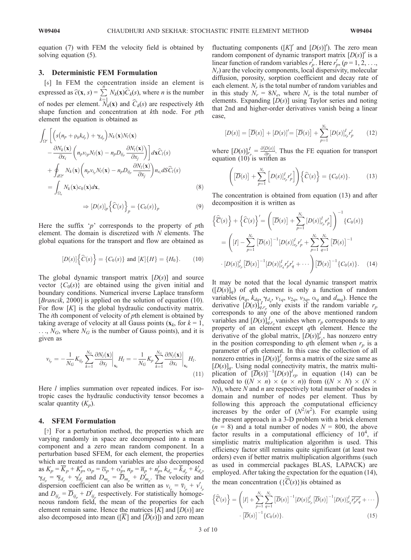equation (7) with FEM the velocity field is obtained by solving equation (5).

## 3. Deterministic FEM Formulation

[6] In FEM the concentration inside an element is expressed as  $\hat{c}(\mathbf{x}, s) = \sum_{k=1}^{n}$  $N_k(\mathbf{x})C_k(s)$ , where *n* is the number of nodes per element.  $N_k(\mathbf{x})$  and  $C_k(s)$  are respectively *k*th shape function and concentration at *k*th node. For *p*th element the equation is obtained as

$$
\int_{\Omega^e} \left[ \left( s(n_p + \rho_b k_{d_p}) + \gamma_{d_p} \right) N_k(\mathbf{x}) N_l(\mathbf{x}) - \frac{\partial N_k(\mathbf{x})}{\partial x_i} \left( n_p v_{ip} N_l(\mathbf{x}) - n_p D_{ij_p} \frac{\partial N_l(\mathbf{x})}{\partial x_j} \right) \right] d\mathbf{x} \widehat{C}_l(s) \n+ \oint_{d\Omega^e} N_k(\mathbf{x}) \left( n_p v_{ip} N_l(\mathbf{x}) - n_p D_{ij_p} \frac{\partial N_l(\mathbf{x})}{\partial x_j} \right) n_{x_i} dS \widehat{C}_l(s) \n= \int_{\Omega_e} N_k(\mathbf{x}) c_0(\mathbf{x}) d\mathbf{x},
$$
\n(8)

$$
\Rightarrow [D(s)]_p \left\{ \widehat{C}(s) \right\}_p = \left\{ C_0(s) \right\}_p \tag{9}
$$

Here the suffix '*p*' corresponds to the property of *p*th element. The domain is discretized with *N* elements. The global equations for the transport and flow are obtained as

$$
[D(s)]\left\{\widehat{C}(s)\right\} = \left\{C_0(s)\right\} \text{ and } [K]\left\{H\right\} = \left\{H_0\right\}.
$$
 (10)

The global dynamic transport matrix [*D*(*s*)] and source vector  ${C_0(s)}$  are obtained using the given initial and boundary conditions. Numerical inverse Laplace transform [*Brancik*, 2000] is applied on the solution of equation (10). For flow [K] is the global hydraulic conductivity matrix. The *i*th component of velocity of *p*th element is obtained by taking average of velocity at all Gauss points  $(x_k, \text{ for } k = 1,$  $\ldots$ , *N<sub>G</sub>*, where *N<sub>G</sub>* is the number of Gauss points), and it is given as

$$
v_{i_p} = -\frac{1}{N_G} K_{ij_p} \sum_{k=1}^{N_G} \frac{\partial N_l(\mathbf{x})}{\partial x_j} \bigg|_{\mathbf{x}_k} H_l = -\frac{1}{N_G} K_p \sum_{k=1}^{N_G} \frac{\partial N_l(\mathbf{x})}{\partial x_i} \bigg|_{\mathbf{x}_k} H_l.
$$
\n(11)

Here *l* implies summation over repeated indices. For isotropic cases the hydraulic conductivity tensor becomes a scalar quantity  $(K_p)$ .

#### 4. SFEM Formulation

[7] For a perturbation method, the properties which are varying randomly in space are decomposed into a mean component and a zero mean random component. In a perturbation based SFEM, for each element, the properties which are treated as random variables are also decomposed as  $K_p = \overline{K}_p + K'_p$ ,  $\alpha_p = \overline{\alpha}_p + \alpha'_p$ ,  $n_p = \overline{n}_p + n'_p$ ,  $k_{d_p} = k_{d_p} + k'_{d_p}$ ,  $\gamma_{d_p} = \overline{\gamma}_{d_p} + \gamma'_{d_p}$  and  $D_{m_p} = \overline{D}_{m_p} + D'_{m_p}$ . The velocity and dispersion coefficient can also be written as  $v_{i_p} = \overline{v}_{i_p} + v'_{i_p}$ and  $D_{ij_p} = D_{ij_p} + D'_{ij_p}$  respectively. For statistically homogeneous random field, the mean of the properties for each element remain same. Hence the matrices  $[K]$  and  $[D(s)]$  are also decomposed into mean ( $[\overline{K}]$  and  $[\overline{D}(s)]$ ) and zero mean

fluctuating components ( $[K]'$  and  $[D(s)]'$ ). The zero mean random component of dynamic transport matrix  $[D(s)]'$  is a linear function of random variables  $r'_p$ . Here  $r'_p$ ,  $(p = 1, 2, \ldots, p)$ *Nr* ) are the velocity components, local dispersivity, molecular diffusion, porosity, sorption coefficient and decay rate of each element. *N<sup>r</sup>* is the total number of random variables and in this study  $N_r = 8N_e$ , where  $N_e$  is the total number of elements. Expanding [*D*(*s*)] using Taylor series and noting that 2nd and higher-order derivatives vanish being a linear case,

$$
[D(s)] = [\overline{D}(s)] + [D(s)]' = [\overline{D}(s)] + \sum_{p=1}^{N_r} [D(s)]_{r_p}^l r'_p \qquad (12)
$$

where  $[D(s)]_{r}^{I} = \frac{\partial [D(s)]}{\partial r_p}$ . Thus the FE equation for transport equation  $(10)$  is written as

$$
\left(\left[\overline{D}(s)\right] + \sum_{p=1}^{N_r} \left[D(s)\right]_{r_p}^l r'_p\right] \bigg) \left\{\widehat{C}(s)\right\} = \left\{C_0(s)\right\}.
$$
 (13)

The concentration is obtained from equation (13) and after decomposition it is written as

$$
\left\{\widehat{\overline{C}}(s)\right\} + \left\{\widehat{C}(s)\right\}' = \left(\left[\overline{D}(s)\right] + \sum_{p=1}^{N_r} \left[D(s)\right]_{r_p}^I r'_p\right]\right)^{-1} \left\{C_0(s)\right\}
$$
\n
$$
= \left(\left[I\right] - \sum_{p=1}^{N_r} \left[\overline{D}(s)\right]^{-1} \left[D(s)\right]_{r_p}^I r'_p + \sum_{p=1}^{N_r} \sum_{q=1}^{N_r} \left[\overline{D}(s)\right]^{-1} \left[D(s)\right]_{r_q}^I \left[\overline{D}(s)\right]^{-1} \left\{C_0(s)\right\}.\tag{14}
$$

It may be noted that the local dynamic transport matrix  $([D(s)]_q$  of *q*th element is only a function of random variables  $(n_q, k_{dq}, \gamma_{d_q}, v_{1q}, v_{2q}, v_{3q}, \alpha_q \text{ and } d_{mq})$ . Hence the derivative  $[D(s)]_{q,r_p}^T$  only exists if the random variable  $r_p$ corresponds to any one of the above mentioned random variables and  $[D(s)]_{q,r_p}^I$  vanishes when  $r_p$  corresponds to any property of an element except *q*th element. Hence the derivative of the global matrix,  $[D(s)]_{r_p}^I$ , has nonzero entry in the position corresponding to *q*th element when  $r_p$  is a parameter of *q*th element. In this case the collection of all nonzero entries in  $[D(s)]_{r_p}^I$  forms a matrix of the size same as  $[D(s)]_q$ . Using nodal connectivity matrix, the matrix multiplication of  $\overline{[D}(s)]^{-1}[D(s)]^{I}$  in equation (14) can be reduced to  $((N \times n) \times (n \times n))$  from  $((N \times N) \times (N \times$ *N*)), where *N* and *n* are respectively total number of nodes in domain and number of nodes per element. Thus by following this approach the computational efficiency increases by the order of  $(N^2/n^2)$ . For example using the present approach in a 3-D problem with a brick element  $(n = 8)$  and a total number of nodes  $N = 800$ , the above factor results in a computational efficiency of  $10^4$ , if simplistic matrix multiplication algorithm is used. This efficiency factor still remains quite significant (at least two orders) even if better matrix multiplication algorithms (such as used in commercial packages BLAS, LAPACK) are employed. After taking the expectation for the equation (14), the mean concentration  $({\overline{C}(s)})$  is obtained as

$$
\left\{\widehat{\overline{C}}(s)\right\} = \left( [I] + \sum_{p=1}^{N_r} \sum_{q=1}^{N_r} \left[ \overline{D}(s) \right]^{-1} [D(s)]_{r_p}^I \left[ \overline{D}(s) \right]^{-1} [D(s)]_{r_q}^I \overline{r'_p} \overline{r'_q} + \cdots \right) \cdot \left[ \overline{D}(s) \right]^{-1} \left\{ C_0(s) \right\}.
$$
\n(15)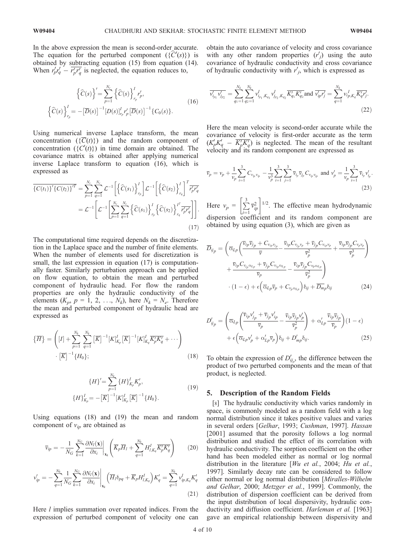In the above expression the mean is second-order accurate. The equation for the perturbed component  $({C'(s)})$  is obtained by subtracting equation (15) from equation (14). When  $r'_{p}r'_{q} - r'_{p}r'_{q}$  is neglected, the equation reduces to,

$$
\left\{\widehat{C}(s)\right\}' = \sum_{p=1}^{N_r} \left\{\widehat{C}(s)\right\}_{r_p}^I r'_p,
$$
\n
$$
\left\{\widehat{C}(s)\right\}_{r_p}^I = -\left[\overline{D}(s)\right]^{-1} \left[D(s)\right]_{r_p}^I r'_p \left[\overline{D}(s)\right]^{-1} \left\{C_0(s)\right\}.
$$
\n(16)

Using numerical inverse Laplace transform, the mean concentration  $({\overline{C}(t)})$  and the random component of concentration  $({C(t)})$  in time domain are obtained. The covariance matrix is obtained after applying numerical inverse Laplace transform to equation (16), which is expressed as

$$
\overline{\{C(t_1)\}^{\{C(t_2)\}^{\{T\}}} } = \sum_{p=1}^{N_r} \sum_{q=1}^{N_r} \mathcal{L}^{-1} \left[ \left\{ \widehat{C}(s_1) \right\}_{r_p}^{I} \right] \mathcal{L}^{-1} \left[ \left\{ \widehat{C}(s_2) \right\}_{r_q}^{I} \right]^{T} \overline{r'_p r'_q}
$$
\n
$$
= \mathcal{L}^{-1} \left[ \mathcal{L}^{-1} \left[ \sum_{p=1}^{N_r} \sum_{q=1}^{N_r} \left\{ \widehat{C}(s_1) \right\}_{r_p}^{I} \left\{ \widehat{C}(s_2) \right\}_{r_q}^{I^T} \overline{r'_p r'_q} \right] \right].
$$
\n(17)

The computational time required depends on the discretization in the Laplace space and the number of finite elements. When the number of elements used for discretization is small, the last expression in equation  $(17)$  is computationally faster. Similarly perturbation approach can be applied on flow equation, to obtain the mean and perturbed component of hydraulic head. For flow the random properties are only the hydraulic conductivity of the elements  $(K_p, p = 1, 2, \ldots, N_k)$ , here  $N_k = N_e$ . Therefore the mean and perturbed component of hydraulic head are expressed as

$$
\{\overline{H}\} = \left( [I] + \sum_{p=1}^{N_k} \sum_{q=1}^{N_k} \overline{[K]}^{-1} [K]_{K_p}^I \overline{[K]}^{-1} [K]_{K_q}^I \overline{K_p^I K_q^I} + \cdots \right) \cdot \overline{[K]}^{-1} \{H_0\};
$$
\n(18)

$$
\{H\}' = \sum_{p=1}^{N_k} \{H\}_{K_p}^l K'_p,
$$
\n
$$
\{H\}_{K_p}^l = -[\overline{K}]^{-1} [K]_{K_p}^l [\overline{K}]^{-1} \{H_0\}.
$$
\n(19)

Using equations (18) and (19) the mean and random component of *vip* are obtained as

$$
\overline{v}_{ip} = -\frac{1}{N_G} \sum_{k=1}^{N_G} \frac{\partial N_l(\mathbf{x})}{\partial x_i} \bigg|_{\mathbf{x}_k} \left( \overline{K}_p \overline{H}_l + \sum_{q=1}^{N_k} H^I_{l,K_q} \overline{K'_p K'_q} \right) \tag{20}
$$

$$
v'_{ip} = -\sum_{q=1}^{N_k} \frac{1}{N_G} \sum_{k=1}^{N_G} \frac{\partial N_l(\mathbf{x})}{\partial x_i} \Big|_{\mathbf{x}_k} \left( \overline{H}_l \delta_{pq} + \overline{K}_p H^I_{l,K_q} \right) K'_q = \sum_{q=1}^{N_k} v^I_{ip,K_q} K'_q \tag{21}
$$

Here *l* implies summation over repeated indices. From the expression of perturbed component of velocity one can obtain the auto covariance of velocity and cross covariance with any other random properties  $(r'_j)$  using the auto covariance of hydraulic conductivity and cross covariance of hydraulic conductivity with  $r'_{j}$ , which is expressed as

$$
\overline{v'_{i_{p_1}}v'_{j_{p_2}}} = \sum_{q_1=1}^{N_k} \sum_{q_2=1}^{N_k} v^I_{i_{p_1},K_{q_1}} v^I_{j_{p_2},K_{q_2}} \overline{K'_{q_1}K'_{q_2}} \text{ and } \overline{v'_{ip}r'_{j}} = \sum_{q=1}^{N_k} v^I_{i_{p},K_q} \overline{K'_{q}r'_{j}}.
$$
\n(22)

Here the mean velocity is second-order accurate while the covariance of velocity is first-order accurate as the term  $(K_p' K_q' - K_p' K_q')$  is neglected. The mean of the resultant velocity and its random component are expressed as

$$
\overline{v}_p = v_p + \frac{1}{v_p} \sum_{i=1}^3 C_{v_{ip}v_{ip}} - \frac{1}{v_p^3} \sum_{i=1}^3 \sum_{j=1}^3 \overline{v}_{ip} \overline{v}_{jp} C_{v_{ip}v_{jp}}
$$
 and  $v'_p = \frac{1}{v_p} \sum_{i=1}^3 \overline{v}_{ip} v'_{ip}.$  (23)

Here  $v_p = \left[\sum_{i=1}^{3} \right]$  $\frac{i=1}{1}$  $\left[\sum_{i=1}^{3} \overline{v}_{ip}^{2}\right]^{1/2}$ . The effective mean hydrodynamic dispersion coefficient and its random component are obtained by using equation (3), which are given as

$$
\overline{D}_{ij_p} = \left( \overline{\alpha}_{Lp} \left( \frac{\overline{v}_{ip} \overline{v}_{jp} + C_{v_{ip}v_{jp}}}{\overline{v}} - \frac{\overline{v}_{ip} C_{v_{ip}v_p} + \overline{v}_{jp} C_{v_{ip}v_p}}{\overline{v}_{p}^2} + \frac{\overline{v}_{ip} \overline{v}_{jp} C_{v_{p}v_p}}{\overline{v}_{p}^3} \right) + \frac{\overline{v}_{ip} C_{v_{ip}v_{lp}} + \overline{v}_{jp} C_{v_{ip}v_{lp}}}{\overline{v}_{p}} - \frac{\overline{v}_{ip} \overline{v}_{jp} C_{v_{p}v_{lp}}}{\overline{v}_{p}^2} \right) + (1 - \epsilon) + \epsilon \left( \overline{\alpha}_{Lp} \overline{v}_{p} + C_{v_{p}v_{lp}} \right) \delta_{ij} + \overline{D_{mp}} \delta_{ij}
$$
\n(24)

$$
D'_{ij_p} = \left( \overline{\alpha}_{Lp} \left( \frac{\overline{v}_{ip} v'_{jp} + \overline{v}_{jp} v'_{ip}}{\overline{v}_p} - \frac{\overline{v}_{ip} \overline{v}_{jp} v'_{p}}{\overline{v}_p^2} \right) + \alpha'_{Lp} \frac{\overline{v}_{ip} \overline{v}_{jp}}{\overline{v}_p} \right) (1 - \epsilon) + \epsilon \left( \overline{\alpha}_{Lp} v'_{p} + \alpha'_{Lp} \overline{v}_p \right) \delta_{ij} + D'_{mp} \delta_{ij}.
$$
\n(25)

To obtain the expression of  $D'_{ij_p}$ , the difference between the product of two perturbed components and the mean of that product, is neglected.

#### 5. Description of the Random Fields

[8] The hydraulic conductivity which varies randomly in space, is commonly modeled as a random field with a log normal distribution since it takes positive values and varies in several orders [*Gelhar*, 1993; *Cushman*, 1997]. *Hassan* [2001] assumed that the porosity follows a log normal distribution and studied the effect of its correlation with hydraulic conductivity. The sorption coefficient on the other hand has been modeled either as normal or log normal distribution in the literature [*Wu et al.*, 2004; *Hu et al.*, 1997]. Similarly decay rate can be considered to follow either normal or log normal distribution [*Miralles-Wilhelm and Gelhar*, 2000; *Metzger et al.*, 1999]. Commonly, the distribution of dispersion coefficient can be derived from the input distribution of local dispersivity, hydraulic conductivity and diffusion coefficient. *Harleman et al.* [1963] gave an empirical relationship between dispersivity and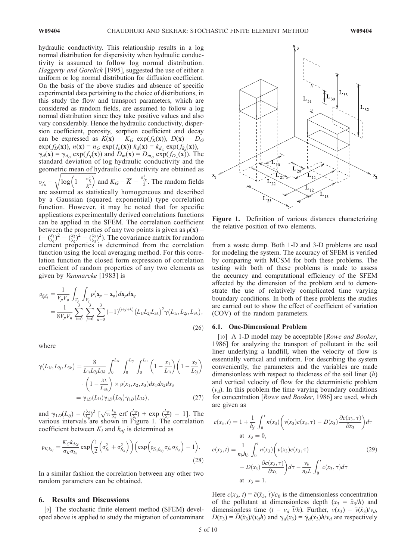hydraulic conductivity. This relationship results in a log normal distribution for dispersivity when hydraulic conductivity is assumed to follow log normal distribution. *Haggerty and Gorelick* [1995], suggested the use of either a uniform or log normal distribution for diffusion coefficient. On the basis of the above studies and absence of specific experimental data pertaining to the choice of distributions, in this study the flow and transport parameters, which are considered as random fields, are assumed to follow a log normal distribution since they take positive values and also vary considerably. Hence the hydraulic conductivity, dispersion coefficient, porosity, sorption coefficient and decay can be expressed as  $K(x) = K_G \exp(f_K(x))$ ,  $D(x) = D_G$  $\exp(f_D(\mathbf{x}))$ ,  $n(\mathbf{x}) = n_G \exp(f_n(\mathbf{x}))$   $k_d(\mathbf{x}) = k_{d_G} \exp(f_{k_d}(\mathbf{x})),$  $\gamma_d(\mathbf{x}) = \gamma_{d_G} \exp(f_\gamma(\mathbf{x}))$  and  $D_m(\mathbf{x}) = D_{m_G} \exp(f_{D_m}(\mathbf{x}))$ . The standard deviation of log hydraulic conductivity and the geometric mean of hydraulic conductivity are obtained as  $\sigma_{f_K} =$ figures  $\sqrt{a^2}$  $\sqrt{\log\left(1+\frac{\sigma_k^2}{\overline{K}^2}\right)}$  and  $K_G = \overline{K} - \frac{\sigma_{f_K}^2}{2}$ . The random fields are assumed as statistically homogeneous and described by a Gaussian (squared exponential) type correlation function. However, it may be noted that for specific applications experimentally derived correlations functions can be applied in the SFEM. The correlation coefficient between the properties of any two points is given as  $\rho(x)$  =  $\left(-\left(\frac{x_1}{\lambda_1}\right)^2 - \left(\frac{x_2}{\lambda_2}\right)^2 - \left(\frac{x_3}{\lambda_3}\right)^2\right)$ . The covariance matrix for random element properties is determined from the correlation function using the local averaging method. For this correlation function the closed form expression of correlation coefficient of random properties of any two elements as given by *Vanmarcke* [1983] is

$$
\rho_{f_p f_q} = \frac{1}{V_p V_q} \int_{V_p} \int_{V_q} \rho(\mathbf{x}_p - \mathbf{x}_q) d\mathbf{x}_p d\mathbf{x}_q \n= \frac{1}{8V_p V_q} \sum_{i=0}^3 \sum_{j=0}^3 \sum_{k=0}^3 (-1)^{(i+j+k)} (L_{1i} L_{2j} L_{3k})^2 \gamma(L_{1i}, L_{2j}, L_{3k}),
$$
\n(26)

where

$$
\gamma(L_{1i}, L_{2j}, L_{3k}) = \frac{8}{L_{1i}L_{2j}L_{3k}} \int_0^{L_{3k}} \int_0^{L_{2j}} \int_0^{L_{1i}} \left(1 - \frac{x_1}{L_{1i}}\right) \left(1 - \frac{x_2}{L_{2j}}\right)
$$

$$
\cdot \left(1 - \frac{x_3}{L_{3k}}\right) \times \rho(x_1, x_2, x_3) dx_1 dx_2 dx_3
$$

$$
= \gamma_{1D}(L_{1i}) \gamma_{1D}(L_{2j}) \gamma_{1D}(L_{3k}), \qquad (27)
$$

and  $\gamma_{1D}(L_{ij}) = (\frac{\lambda_i}{L_{ij}})^2$   $[\sqrt{\pi} \frac{L_{ij}}{\lambda_i}$  erf  $(\frac{L_{ij}}{\lambda_i})$  + exp  $(\frac{L_{ij}}{\lambda_i})$  - 1]. The various intervals are shown in Figure 1. The correlation coefficient between  $K_i$  and  $k_{di}$  is determined as

$$
\rho_{K_i k_{dj}} = \frac{K_G k_{dG}}{\sigma_K \sigma_{k_d}} \exp\left(\frac{1}{2} \left(\sigma_{f_k}^2 + \sigma_{f_{k_d}}^2\right)\right) \left(\exp\left(\rho_{f_{k_i} f_{k_{dj}}} \sigma_{f_k} \sigma_{f_{k_d}}\right) - 1\right).
$$
\n(28)

In a similar fashion the correlation between any other two random parameters can be obtained.

#### 6. Results and Discussions

[9] The stochastic finite element method (SFEM) developed above is applied to study the migration of contaminant



Figure 1. Definition of various distances characterizing the relative position of two elements.

from a waste dump. Both 1-D and 3-D problems are used for modeling the system. The accuracy of SFEM is verified by comparing with MCSM for both these problems. The testing with both of these problems is made to assess the accuracy and computational efficiency of the SFEM affected by the dimension of the problem and to demonstrate the use of relatively complicated time varying boundary conditions. In both of these problems the studies are carried out to show the effect of coefficient of variation (COV) of the random parameters.

### 6.1. One-Dimensional Problem

[10] A 1-D model may be acceptable [*Rowe and Booker*, 1986] for analyzing the transport of pollutant in the soil liner underlying a landfill, when the velocity of flow is essentially vertical and uniform. For describing the system conveniently, the parameters and the variables are made dimensionless with respect to thickness of the soil liner (*h*) and vertical velocity of flow for the deterministic problem  $(v_d)$ . In this problem the time varying boundary conditions for concentration [*Rowe and Booker*, 1986] are used, which are given as

$$
c(x_3, t) = 1 + \frac{1}{h_f} \int_0^t n(x_3) \left( v(x_3)c(x_3, \tau) - D(x_3) \frac{\partial c(x_3, \tau)}{\partial x_3} \right) d\tau
$$
  
at  $x_3 = 0$ ,  

$$
c(x_3, t) = \frac{1}{n_b h_b} \int_0^t n(x_3) \left( v(x_3)c(x_3, \tau) - D(x_3) \frac{\partial c(x_3, \tau)}{\partial x_3} \right) d\tau - \frac{v_b}{n_b L} \int_0^t c(x_3, \tau) d\tau
$$
  
at  $x_3 = 1$ . (29)

Here  $c(x_3, t) = \tilde{c}(\tilde{x}_3, \tilde{t})/c_0$  is the dimensionless concentration of the pollutant at dimensionless depth  $(x_3 = \tilde{x}_3/h)$  and dimensionless time ( $t = v_d$   $\tilde{t}/h$ ). Further,  $v(x_3) = \tilde{v}(\tilde{x}_3)/v_d$ ,  $D(x_3) = D(\tilde{x}_3)/(v_d h)$  and  $\gamma_d(x_3) = \tilde{\gamma}_d(\tilde{x}_3)h/v_d$  are respectively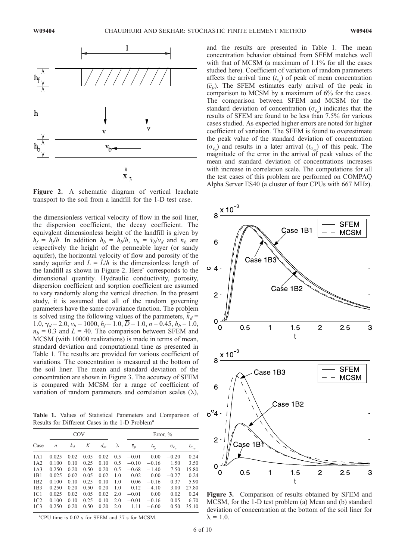

Figure 2. A schematic diagram of vertical leachate transport to the soil from a landfill for the 1-D test case.

the dimensionless vertical velocity of flow in the soil liner, the dispersion coefficient, the decay coefficient. The equivalent dimensionless height of the landfill is given by  $h_f = \tilde{h}_f/h$ . In addition  $h_b = \tilde{h}_b/h$ ,  $v_b = \tilde{v}_b/v_d$  and  $n_b$  are respectively the height of the permeable layer (or sandy aquifer), the horizontal velocity of flow and porosity of the sandy aquifer and  $L = L/h$  is the dimensionless length of the landfill as shown in Figure 2. Hereˆ corresponds to the dimensional quantity. Hydraulic conductivity, porosity, dispersion coefficient and sorption coefficient are assumed to vary randomly along the vertical direction. In the present study, it is assumed that all of the random governing parameters have the same covariance function. The problem is solved using the following values of the parameters,  $\overline{k}_d$  = 1.0,  $\gamma_d = 2.0$ ,  $v_b = 1000$ ,  $h_f = 1.0$ ,  $\overline{D} = 1.0$ ,  $\overline{n} = 0.45$ ,  $h_b = 1.0$ ,  $n_b$  = 0.3 and *L* = 40. The comparison between SFEM and MCSM (with 10000 realizations) is made in terms of mean, standard deviation and computational time as presented in Table 1. The results are provided for various coefficient of variations. The concentration is measured at the bottom of the soil liner. The mean and standard deviation of the concentration are shown in Figure 3. The accuracy of SFEM is compared with MCSM for a range of coefficient of variation of random parameters and correlation scales  $(\lambda)$ ,

Table 1. Values of Statistical Parameters and Comparison of Results for Different Cases in the 1-D Problem<sup>a</sup>

|                 | COV              |       |      |       |           | Error, $\%$      |                      |                |                   |
|-----------------|------------------|-------|------|-------|-----------|------------------|----------------------|----------------|-------------------|
| Case            | $\boldsymbol{n}$ | $k_d$ | Κ    | $d_m$ | $\lambda$ | $\overline{c}_p$ | $t_{\overline{c}_n}$ | $\sigma_{c_p}$ | $t_{\sigma_{cp}}$ |
| 1A1             | 0.025            | 0.02  | 0.05 | 0.02  | 0.5       | $-0.01$          | 0.00                 | $-0.20$        | 0.24              |
| 1A2             | 0.100            | 0.10  | 0.25 | 0.10  | 0.5       | $-0.10$          | $-0.16$              | 1.50           | 3.50              |
| 1A3             | 0.250            | 0.20  | 0.50 | 0.20  | 0.5       | $-0.68$          | $-1.40$              | 7.50           | 15.80             |
| 1B1             | 0.025            | 0.02  | 0.05 | 0.02  | 1.0       | 0.02             | 0.00                 | $-0.27$        | 0.24              |
| 1B2             | 0.100            | 0.10  | 0.25 | 0.10  | 1.0       | 0.06             | $-0.16$              | 0.37           | 5.90              |
| 1B <sub>3</sub> | 0.250            | 0.20  | 0.50 | 0.20  | 1.0       | 0.12             | $-4.10$              | 3.00           | 27.80             |
| 1 <sub>C1</sub> | 0.025            | 0.02  | 0.05 | 0.02  | 2.0       | $-0.01$          | 0.00                 | 0.02           | 0.24              |
| 1C2             | 0.100            | 0.10  | 0.25 | 0.10  | 2.0       | $-0.01$          | $-0.16$              | 0.05           | 6.70              |
| 1C <sub>3</sub> | 0.250            | 0.20  | 0.50 | 0.20  | 2.0       | 1.11             | $-6.00$              | 0.50           | 35.10             |

<sup>a</sup>CPU time is 0.02 s for SFEM and 37 s for MCSM.

and the results are presented in Table 1. The mean concentration behavior obtained from SFEM matches well with that of MCSM (a maximum of 1.1% for all the cases studied here). Coefficient of variation of random parameters affects the arrival time  $(t_{c_p})$  of peak of mean concentration  $(\overline{c}_p)$ . The SFEM estimates early arrival of the peak in comparison to MCSM by a maximum of 6% for the cases. The comparison between SFEM and MCSM for the standard deviation of concentration ( $\sigma_{c_p}$ ) indicates that the results of SFEM are found to be less than 7.5% for various cases studied. As expected higher errors are noted for higher coefficient of variation. The SFEM is found to overestimate the peak value of the standard deviation of concentration  $(\sigma_{c_p})$  and results in a later arrival  $(t_{\sigma_{cp}})$  of this peak. The magnitude of the error in the arrival of peak values of the mean and standard deviation of concentrations increases with increase in correlation scale. The computations for all the test cases of this problem are performed on COMPAQ Alpha Server ES40 (a cluster of four CPUs with 667 MHz).



Figure 3. Comparison of results obtained by SFEM and MCSM, for the 1-D test problem (a) Mean and (b) standard deviation of concentration at the bottom of the soil liner for  $\lambda = 1.0.$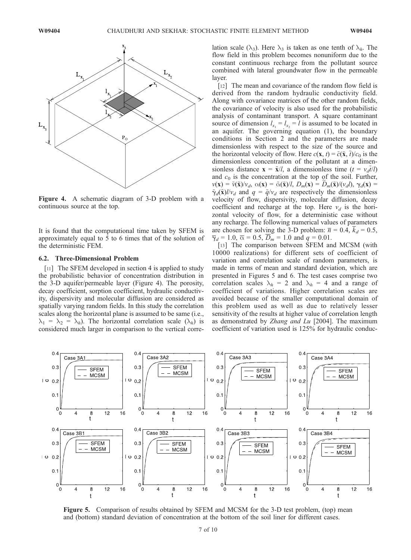

Figure 4. A schematic diagram of 3-D problem with a continuous source at the top.

It is found that the computational time taken by SFEM is approximately equal to 5 to 6 times that of the solution of the deterministic FEM.

#### 6.2. Three-Dimensional Problem

[11] The SFEM developed in section 4 is applied to study the probabilistic behavior of concentration distribution in the 3-D aquifer/permeable layer (Figure 4). The porosity, decay coefficient, sorption coefficient, hydraulic conductivity, dispersivity and molecular diffusion are considered as spatially varying random fields. In this study the correlation scales along the horizontal plane is assumed to be same (i.e.,  $\lambda_1 = \lambda_2 = \lambda_h$ ). The horizontal correlation scale ( $\lambda_h$ ) is considered much larger in comparison to the vertical correlation scale ( $\lambda_3$ ). Here  $\lambda_3$  is taken as one tenth of  $\lambda_h$ . The flow field in this problem becomes nonuniform due to the constant continuous recharge from the pollutant source combined with lateral groundwater flow in the permeable layer.

[12] The mean and covariance of the random flow field is derived from the random hydraulic conductivity field. Along with covariance matrices of the other random fields, the covariance of velocity is also used for the probabilistic analysis of contaminant transport. A square contaminant source of dimension  $l_{x_1} = l_{x_2} = l$  is assumed to be located in an aquifer. The governing equation (1), the boundary conditions in Section 2 and the parameters are made dimensionless with respect to the size of the source and the horizontal velocity of flow. Here  $c(\mathbf{x}, t) = \tilde{c}(\tilde{\mathbf{x}}, t)/c_0$  is the dimensionless concentration of the pollutant at a dimensionless distance  $\mathbf{x} = \tilde{\mathbf{x}}/l$ , a dimensionless time  $(t = v_d \tilde{t}/l)$ and  $c_0$  is the concentration at the top of the soil. Further,  $\nu(\mathbf{x}) = \tilde{\nu}(\tilde{\mathbf{x}})/\nu_d$ ,  $\alpha(\mathbf{x}) = \tilde{\alpha}(\tilde{\mathbf{x}})/l$ ,  $D_m(\mathbf{x}) = D_m(\tilde{\mathbf{x}})/(\nu_d l)$ ,  $\gamma_d(\mathbf{x}) = \tilde{\nu}(\tilde{\mathbf{x}})/\nu_d$  $\tilde{\gamma}_d(\tilde{\mathbf{x}})l/v_d$  and  $q = \tilde{q}/v_d$  are respectively the dimensionless velocity of flow, dispersivity, molecular diffusion, decay coefficient and recharge at the top. Here  $v_d$  is the horizontal velocity of flow, for a deterministic case without any recharge. The following numerical values of parameters are chosen for solving the 3-D problem:  $\overline{n} = 0.4$ ,  $\overline{k}_d = 0.5$ ,  $\overline{\gamma}_d = 1.0$ ,  $\overline{\alpha} = 0.5$ ,  $\overline{D}_m = 1.0$  and  $q = 0.01$ .

[13] The comparison between SFEM and MCSM (with 10000 realizations) for different sets of coefficient of variation and correlation scale of random parameters, is made in terms of mean and standard deviation, which are presented in Figures 5 and 6. The test cases comprise two correlation scales  $\lambda_h = 2$  and  $\lambda_h = 4$  and a range of coefficient of variations. Higher correlation scales are avoided because of the smaller computational domain of this problem used as well as due to relatively lesser sensitivity of the results at higher value of correlation length as demonstrated by *Zhang and Lu* [2004]. The maximum coefficient of variation used is 125% for hydraulic conduc-



Figure 5. Comparison of results obtained by SFEM and MCSM for the 3-D test problem, (top) mean and (bottom) standard deviation of concentration at the bottom of the soil liner for different cases.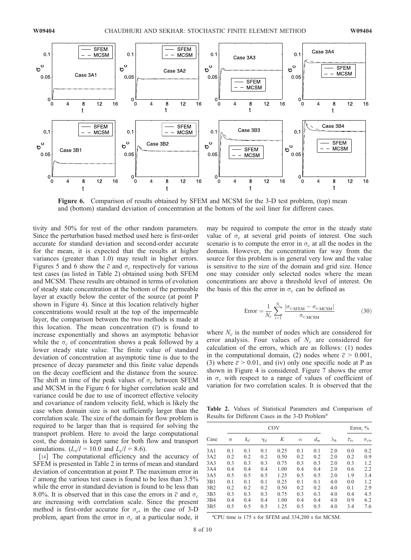

Figure 6. Comparison of results obtained by SFEM and MCSM for the 3-D test problem, (top) mean and (bottom) standard deviation of concentration at the bottom of the soil liner for different cases.

tivity and 50% for rest of the other random parameters. Since the perturbation based method used here is first-order accurate for standard deviation and second-order accurate for the mean, it is expected that the results at higher variances (greater than 1.0) may result in higher errors. Figures 5 and 6 show the  $\overline{c}$  and  $\sigma_c$  respectively for various test cases (as listed in Table 2) obtained using both SFEM and MCSM. These results are obtained in terms of evolution of steady state concentration at the bottom of the permeable layer at exactly below the center of the source (at point P shown in Figure 4). Since at this location relatively higher concentrations would result at the top of the impermeable layer, the comparison between the two methods is made at this location. The mean concentration  $(\overline{c})$  is found to increase exponentially and shows an asymptotic behavior while the  $\sigma_c$  of concentration shows a peak followed by a lower steady state value. The finite value of standard deviation of concentration at asymptotic time is due to the presence of decay parameter and this finite value depends on the decay coefficient and the distance from the source. The shift in time of the peak values of  $\sigma_c$  between SFEM and MCSM in the Figure 6 for higher correlation scale and variance could be due to use of incorrect effective velocity and covariance of random velocity field, which is likely the case when domain size is not sufficiently larger than the correlation scale. The size of the domain for flow problem is required to be larger than that is required for solving the transport problem. Here to avoid the large computational cost, the domain is kept same for both flow and transport simulations. ( $L_x/l = 10.0$  and  $L_y/l = 8.6$ ).

[14] The computational efficiency and the accuracy of SFEM is presented in Table 2 in terms of mean and standard deviation of concentration at point P. The maximum error in  $\overline{c}$  among the various test cases is found to be less than 3.5% while the error in standard deviation is found to be less than 8.0%. It is observed that in this case the errors in  $\overline{c}$  and  $\sigma_c$ are increasing with correlation scale. Since the present method is first-order accurate for  $\sigma_c$ , in the case of 3-D problem, apart from the error in  $\sigma_c$  at a particular node, it may be required to compute the error in the steady state value of  $\sigma_c$  at several grid points of interest. One such scenario is to compute the error in  $\sigma_c$  at all the nodes in the domain. However, the concentration far way from the source for this problem is in general very low and the value is sensitive to the size of the domain and grid size. Hence one may consider only selected nodes where the mean concentrations are above a threshold level of interest. On the basis of this the error in  $\sigma_c$  can be defined as

$$
Error = \frac{1}{N_c} \sum_{i=1}^{N_c} \frac{|\sigma_{c_i \text{SFEM}} - \sigma_{c_i \text{MCSM}}|}{\sigma_{c_i \text{MCSM}}}
$$
(30)

where  $N_c$  is the number of nodes which are considered for error analysis. Four values of *N<sup>c</sup>* are considered for calculation of the errors, which are as follows: (1) nodes in the computational domain, (2) nodes where  $\bar{c}$  > 0.001, (3) where  $\bar{c}$  > 0.01, and (iv) only one specific node at P as shown in Figure 4 is considered. Figure 7 shows the error in  $\sigma_c$  with respect to a range of values of coefficient of variation for two correlation scales. It is observed that the

Table 2. Values of Statistical Parameters and Comparison of Results for Different Cases in the 3-D Problem<sup>a</sup>

|                  |                  |       |            | Error, $\%$ |          |       |             |                     |                     |
|------------------|------------------|-------|------------|-------------|----------|-------|-------------|---------------------|---------------------|
| Case             | $\boldsymbol{n}$ | $k_d$ | $\gamma_d$ | Κ           | $\alpha$ | $d_m$ | $\lambda_h$ | $\overline{c}_{iv}$ | $\sigma_{\rm{civ}}$ |
| 3A1              | 0.1              | 0.1   | 0.1        | 0.25        | 0.1      | 0.1   | 2.0         | 0.0                 | 0.2                 |
| 3A2              | 0.2              | 0.2   | 0.2        | 0.50        | 0.2      | 0.2   | 2.0         | 0.2                 | 0.9                 |
| 3A3              | 0.3              | 0.3   | 0.3        | 0.75        | 0.3      | 0.3   | 2.0         | 0.3                 | 1.2                 |
| 3A4              | 0.4              | 0.4   | 0.4        | 1.00        | 0.4      | 0.4   | 2.0         | 0.6                 | 2.2                 |
| 3A5              | 0.5              | 0.5   | 0.5        | 1.25        | 0.5      | 0.5   | 2.0         | 1.9                 | 3.4                 |
| 3B1              | 0.1              | 0.1   | 0.1        | 0.25        | 0.1      | 0.1   | 4.0         | 0.0                 | 1.2                 |
| 3B2              | 0.2              | 0.2   | 0.2        | 0.50        | 0.2      | 0.2   | 4.0         | 0.1                 | 2.9                 |
| 3 <sub>B</sub> 3 | 0.3              | 0.3   | 0.3        | 0.75        | 0.3      | 0.3   | 4.0         | 0.4                 | 4.5                 |
| 3B4              | 0.4              | 0.4   | 0.4        | 1.00        | 0.4      | 0.4   | 4.0         | 0.9                 | 6.2                 |
| 3B <sub>5</sub>  | 0.5              | 0.5   | 0.5        | 1.25        | 0.5      | 0.5   | 4.0         | 3.4                 | 7.6                 |

<sup>a</sup>CPU time is 175 s for SFEM and 334,200 s for MCSM.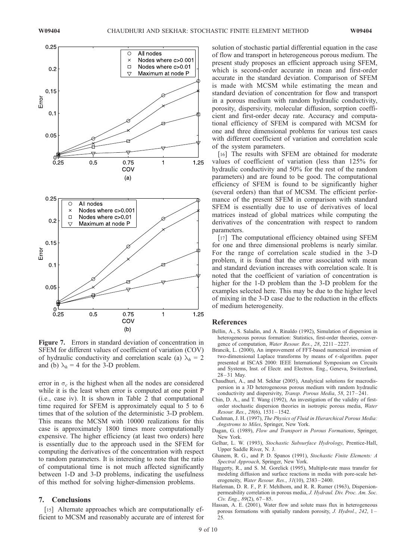

Figure 7. Errors in standard deviation of concentration in SFEM for different values of coefficient of variation (COV) of hydraulic conductivity and correlation scale (a)  $\lambda_h = 2$ and (b)  $\lambda_h = 4$  for the 3-D problem.

error in  $\sigma_c$  is the highest when all the nodes are considered while it is the least when error is computed at one point P (i.e., case iv). It is shown in Table 2 that computational time required for SFEM is approximately equal to 5 to 6 times that of the solution of the deterministic 3-D problem. This means the MCSM with 10000 realizations for this case is approximately 1800 times more computationally expensive. The higher efficiency (at least two orders) here is essentially due to the approach used in the SFEM for computing the derivatives of the concentration with respect to random parameters. It is interesting to note that the ratio of computational time is not much affected significantly between 1-D and 3-D problems, indicating the usefulness of this method for solving higher-dimension problems.

## 7. Conclusions

[15] Alternate approaches which are computationally efficient to MCSM and reasonably accurate are of interest for solution of stochastic partial differential equation in the case of flow and transport in heterogeneous porous medium. The present study proposes an efficient approach using SFEM, which is second-order accurate in mean and first-order accurate in the standard deviation. Comparison of SFEM is made with MCSM while estimating the mean and standard deviation of concentration for flow and transport in a porous medium with random hydraulic conductivity, porosity, dispersivity, molecular diffusion, sorption coefficient and first-order decay rate. Accuracy and computational efficiency of SFEM is compared with MCSM for one and three dimensional problems for various test cases with different coefficient of variation and correlation scale of the system parameters.

[16] The results with SFEM are obtained for moderate values of coefficient of variation (less than 125% for hydraulic conductivity and 50% for the rest of the random parameters) and are found to be good. The computational efficiency of SFEM is found to be significantly higher (several orders) than that of MCSM. The efficient performance of the present SFEM in comparison with standard SFEM is essentially due to use of derivatives of local matrices instead of global matrices while computing the derivatives of the concentration with respect to random parameters.

[17] The computational efficiency obtained using SFEM for one and three dimensional problems is nearly similar. For the range of correlation scale studied in the 3-D problem, it is found that the error associated with mean and standard deviation increases with correlation scale. It is noted that the coefficient of variation of concentration is higher for the 1-D problem than the 3-D problem for the examples selected here. This may be due to the higher level of mixing in the 3-D case due to the reduction in the effects of medium heterogeneity.

#### References

- Bellin, A., S. Saladin, and A. Rinaldo (1992), Simulation of dispersion in heterogeneous porous formation: Statistics, first-order theories, convergence of computation, *Water Resour. Res.*, *28*, 2211 – 2227.
- Brancik, L. (2000), An improvement of FFT-based numerical inversion of two-dimensional Laplace transforms by means of  $\epsilon$ -algorithm. paper presented at ISCAS 2000: IEEE International Symposium on Circuits and Systems, Inst. of Electr. and Electron. Eng., Geneva, Switzerland, 28 – 31 May.
- Chaudhuri, A., and M. Sekhar (2005), Analytical solutions for macrodispersion in a 3D heterogeneous porous medium with random hydraulic conductivity and dispersivity, *Transp. Porous Media*, *58*, 217 – 241.
- Chin, D. A., and T. Wang (1992), An investigation of the validity of firstorder stochastic dispersion theories in isotropic porous media, *Water Resour. Res.*, *28*(6), 1531 – 1542.
- Cushman, J. H. (1997), *The Physics of Fluid in Hierarchical Porous Media: Angstroms to Miles*, Springer, New York.
- Dagan, G. (1989), *Flow and Transport in Porous Formations*, Springer, New York.
- Gelhar, L. W. (1993), *Stochastic Subsurface Hydrology*, Prentice-Hall, Upper Saddle River, N. J.
- Ghanem, R. G., and P. D. Spanos (1991), *Stochastic Finite Elements: A Spectral Approach*, Springer, New York.
- Haggerty, R., and S. M. Gorelick (1995), Multiple-rate mass transfer for modeling diffusion and surface reactions in media with pore-scale heterogeneity, *Water Resour. Res.*, *31*(10), 2383 – 2400.
- Harleman, D. R. F., P. F. Mehlhorn, and R. R. Rumer (1963), Dispersionpermeability correlation in porous media, *J. Hydraul. Div. Proc. Am. Soc. Civ. Eng.*, *89*(2), 67 – 85.
- Hassan, A. E. (2001), Water flow and solute mass flux in heterogeneous porous formations with spatially random porosity, *J. Hydrol.*, *242*, 1– 25.